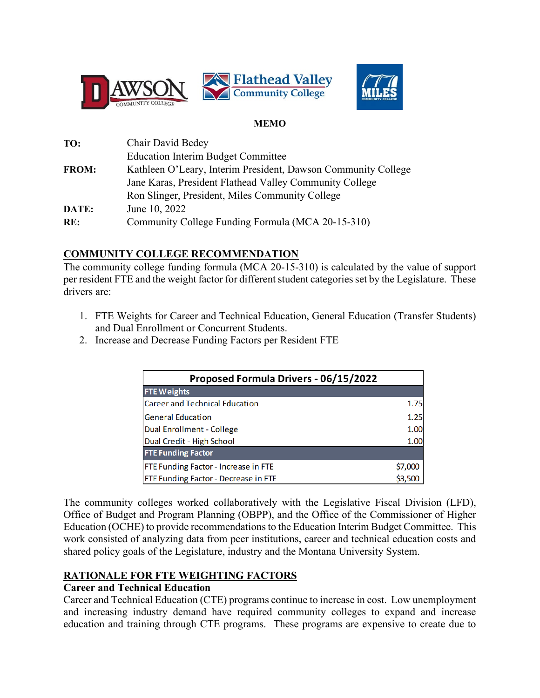



#### **MEMO**

| TO:          | Chair David Bedey                                             |
|--------------|---------------------------------------------------------------|
|              | <b>Education Interim Budget Committee</b>                     |
| <b>FROM:</b> | Kathleen O'Leary, Interim President, Dawson Community College |
|              | Jane Karas, President Flathead Valley Community College       |
|              | Ron Slinger, President, Miles Community College               |
| DATE:        | June 10, 2022                                                 |
| RE:          | Community College Funding Formula (MCA 20-15-310)             |

# **COMMUNITY COLLEGE RECOMMENDATION**

The community college funding formula (MCA 20-15-310) is calculated by the value of support per resident FTE and the weight factor for different student categories set by the Legislature. These drivers are:

- 1. FTE Weights for Career and Technical Education, General Education (Transfer Students) and Dual Enrollment or Concurrent Students.
- 2. Increase and Decrease Funding Factors per Resident FTE

| Proposed Formula Drivers - 06/15/2022 |         |  |  |  |  |  |
|---------------------------------------|---------|--|--|--|--|--|
| <b>FTE Weights</b>                    |         |  |  |  |  |  |
| <b>Career and Technical Education</b> |         |  |  |  |  |  |
| <b>General Education</b>              |         |  |  |  |  |  |
| Dual Enrollment - College             | 1.00    |  |  |  |  |  |
| Dual Credit - High School             | 1.00    |  |  |  |  |  |
| <b>FTE Funding Factor</b>             |         |  |  |  |  |  |
| FTE Funding Factor - Increase in FTE  | \$7,000 |  |  |  |  |  |
| FTE Funding Factor - Decrease in FTE  | \$3,500 |  |  |  |  |  |

The community colleges worked collaboratively with the Legislative Fiscal Division (LFD), Office of Budget and Program Planning (OBPP), and the Office of the Commissioner of Higher Education (OCHE) to provide recommendations to the Education Interim Budget Committee. This work consisted of analyzing data from peer institutions, career and technical education costs and shared policy goals of the Legislature, industry and the Montana University System.

# **RATIONALE FOR FTE WEIGHTING FACTORS**

# **Career and Technical Education**

Career and Technical Education (CTE) programs continue to increase in cost. Low unemployment and increasing industry demand have required community colleges to expand and increase education and training through CTE programs. These programs are expensive to create due to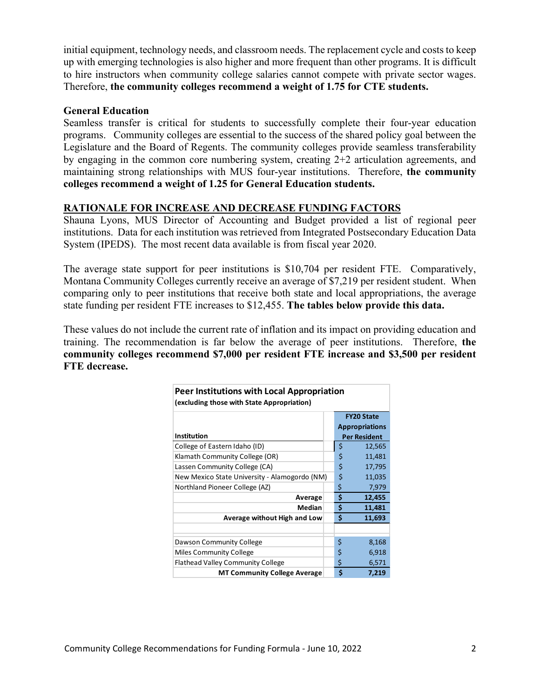initial equipment, technology needs, and classroom needs. The replacement cycle and costs to keep up with emerging technologies is also higher and more frequent than other programs. It is difficult to hire instructors when community college salaries cannot compete with private sector wages. Therefore, **the community colleges recommend a weight of 1.75 for CTE students.** 

#### **General Education**

Seamless transfer is critical for students to successfully complete their four-year education programs. Community colleges are essential to the success of the shared policy goal between the Legislature and the Board of Regents. The community colleges provide seamless transferability by engaging in the common core numbering system, creating 2+2 articulation agreements, and maintaining strong relationships with MUS four-year institutions. Therefore, **the community colleges recommend a weight of 1.25 for General Education students.** 

#### **RATIONALE FOR INCREASE AND DECREASE FUNDING FACTORS**

Shauna Lyons, MUS Director of Accounting and Budget provided a list of regional peer institutions. Data for each institution was retrieved from Integrated Postsecondary Education Data System (IPEDS). The most recent data available is from fiscal year 2020.

The average state support for peer institutions is \$10,704 per resident FTE. Comparatively, Montana Community Colleges currently receive an average of \$7,219 per resident student. When comparing only to peer institutions that receive both state and local appropriations, the average state funding per resident FTE increases to \$12,455. **The tables below provide this data.**

These values do not include the current rate of inflation and its impact on providing education and training. The recommendation is far below the average of peer institutions. Therefore, **the community colleges recommend \$7,000 per resident FTE increase and \$3,500 per resident FTE decrease.** 

| Peer Institutions with Local Appropriation<br>(excluding those with State Appropriation) |                     |                       |  |  |  |  |
|------------------------------------------------------------------------------------------|---------------------|-----------------------|--|--|--|--|
|                                                                                          |                     | <b>FY20 State</b>     |  |  |  |  |
|                                                                                          |                     | <b>Appropriations</b> |  |  |  |  |
| <b>Institution</b>                                                                       | <b>Per Resident</b> |                       |  |  |  |  |
| College of Eastern Idaho (ID)                                                            | \$                  | 12,565                |  |  |  |  |
| Klamath Community College (OR)                                                           | \$                  | 11,481                |  |  |  |  |
| Lassen Community College (CA)                                                            | \$                  | 17,795                |  |  |  |  |
| New Mexico State University - Alamogordo (NM)                                            | \$                  | 11,035                |  |  |  |  |
| Northland Pioneer College (AZ)                                                           | \$                  | 7,979                 |  |  |  |  |
| Average                                                                                  | \$                  | 12,455                |  |  |  |  |
| Median                                                                                   | \$                  | 11,481                |  |  |  |  |
| Average without High and Low                                                             | \$                  | 11,693                |  |  |  |  |
|                                                                                          |                     |                       |  |  |  |  |
| Dawson Community College                                                                 | \$                  | 8,168                 |  |  |  |  |
| Miles Community College                                                                  | \$                  | 6,918                 |  |  |  |  |
| <b>Flathead Valley Community College</b>                                                 | \$                  | 6,571                 |  |  |  |  |
| <b>MT Community College Average</b>                                                      | \$                  | 7,219                 |  |  |  |  |